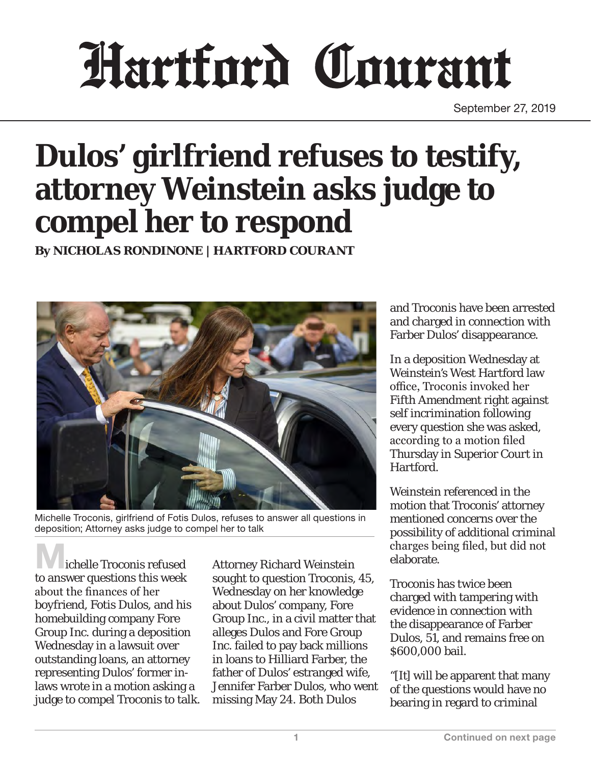## Hartford Courant

September 27, 2019

## **Dulos' girlfriend refuses to testify, attorney Weinstein asks judge to compel her to respond**

**By NICHOLAS RONDINONE | HARTFORD COURANT** 



Michelle Troconis, girlfriend of Fotis Dulos, refuses to answer all questions in deposition; Attorney asks judge to compel her to talk

ichelle Troconis refused to answer questions this week about the finances of her boyfriend, Fotis Dulos, and his homebuilding company Fore Group Inc. during a deposition Wednesday in a lawsuit over outstanding loans, an attorney representing Dulos' former inlaws wrote in a motion asking a judge to compel Troconis to talk.

Attorney Richard Weinstein sought to question Troconis, 45, Wednesday on her knowledge about Dulos' company, Fore Group Inc., in a civil matter that alleges Dulos and Fore Group Inc. failed to pay back millions in loans to Hilliard Farber, the father of Dulos' estranged wife, Jennifer Farber Dulos, who went missing May 24. Both Dulos

and Troconis have been arrested and charged in connection with Farber Dulos' disappearance.

In a deposition Wednesday at Weinstein's West Hartford law office, Troconis invoked her Fifth Amendment right against self incrimination following every question she was asked, according to a motion filed Thursday in Superior Court in Hartford.

Weinstein referenced in the motion that Troconis' attorney mentioned concerns over the possibility of additional criminal charges being filed, but did not elaborate.

Troconis has twice been charged with tampering with evidence in connection with the disappearance of Farber Dulos, 51, and remains free on \$600,000 bail.

"[It] will be apparent that many of the questions would have no bearing in regard to criminal